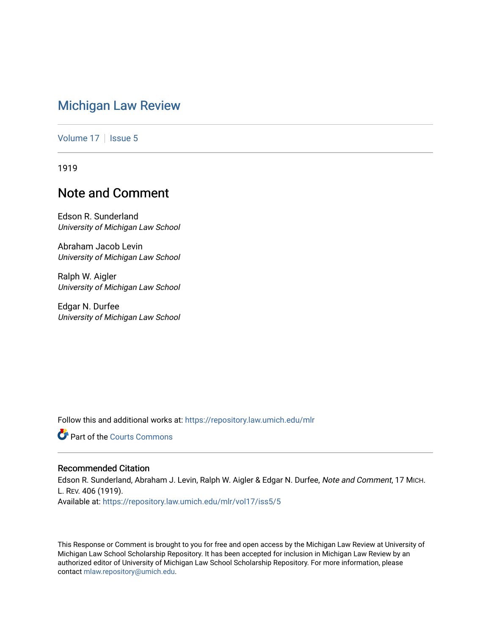## [Michigan Law Review](https://repository.law.umich.edu/mlr)

[Volume 17](https://repository.law.umich.edu/mlr/vol17) | [Issue 5](https://repository.law.umich.edu/mlr/vol17/iss5)

1919

## Note and Comment

Edson R. Sunderland University of Michigan Law School

Abraham Jacob Levin University of Michigan Law School

Ralph W. Aigler University of Michigan Law School

Edgar N. Durfee University of Michigan Law School

Follow this and additional works at: [https://repository.law.umich.edu/mlr](https://repository.law.umich.edu/mlr?utm_source=repository.law.umich.edu%2Fmlr%2Fvol17%2Fiss5%2F5&utm_medium=PDF&utm_campaign=PDFCoverPages) 

**C** Part of the Courts Commons

### Recommended Citation

Edson R. Sunderland, Abraham J. Levin, Ralph W. Aigler & Edgar N. Durfee, Note and Comment, 17 MICH. L. REV. 406 (1919). Available at: [https://repository.law.umich.edu/mlr/vol17/iss5/5](https://repository.law.umich.edu/mlr/vol17/iss5/5?utm_source=repository.law.umich.edu%2Fmlr%2Fvol17%2Fiss5%2F5&utm_medium=PDF&utm_campaign=PDFCoverPages)

This Response or Comment is brought to you for free and open access by the Michigan Law Review at University of Michigan Law School Scholarship Repository. It has been accepted for inclusion in Michigan Law Review by an authorized editor of University of Michigan Law School Scholarship Repository. For more information, please contact [mlaw.repository@umich.edu](mailto:mlaw.repository@umich.edu).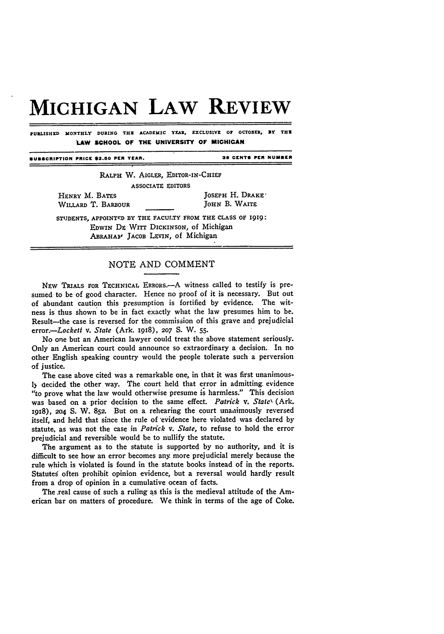# **MICHIGAN LAW REVIEW**

**rUALISHED MONTHLY DURIHO THE ACADEMIC YEAR, EXCLUSIVE OF OCTOBEE,** BY **THE 'LAW SCHOOL OF THE UNIVERSITY OF MICHIGAN**

**UUSGCRIPTION PRICE \$2.50 PER YEAR. 35 CENTS PER HUMMER**

RALPH W. AIGLER, EDITOR-IN-CHIEF **ASSOCIATE** EDITORS

HENRY M. BATES<br>Willard T. Barrour M. JOHN B. WAITE WILLARD T. BARBOUR

**STUDENTS,** APPOINTrD **BY** THE **FACULTY** FROM THE **CLASS** OF **1919:** EDWIN **Ds WITT** DICKINSON, of Michigan ABRAHA3" **JACOB LEVIN,** Of Michigan

#### NOTE AND COMMENT

NEw TRIALS FOR TECHNICAL ERRORs.-A witness called to testify is presumed to be of good character. Hence no proof of it is necessary. But out of abundant caution this presumption is fortified by evidence. The witness is thus shown to be in fact exactly what the law presumes him to be. Result—the case is reversed for the commission of this grave and prejudicial *error.-Lockett v. State* (Ark. 1918), 207 S. W. **55.**

No one but an American lawyer could treat the above statement seriously. Only an American court could announce so extraordinary a decision. In no other English speaking country would the people tolerate such a perversion of justice.

The case above cited was a remarkable one, in that it was first unanimous**ly** decided the other way. The court held that error in admitting. evidence "to prove what the law would otherwise presume is harmless." This decision was based on a prior decision to the same effect. *Patrick v. State\* (Ark. 1918), 204 S. W. **852.** But on a rehearing the court unaaiimously reversed itself, and held that since the rule of evidence here violated was declared by statute, as was not the case in *Patrick v. State,* to refuse to hold the error prejudicial and reversible would be to nullify the statute.

The argument as to the statute is supported by no authority, and it is difficult to see how an error becomes any. more prejudicial merely because the rule which is violated is found in the statute books instead of in the reports. Statutes often prohibit opinion evidence, but a reversal would hardly result from a drop of opinion in a cumulative ocean of facts.

The .real cause of such a ruling as this is the medieval attitude of the American bar on matters of procedure. We think in terms of the age of Coke.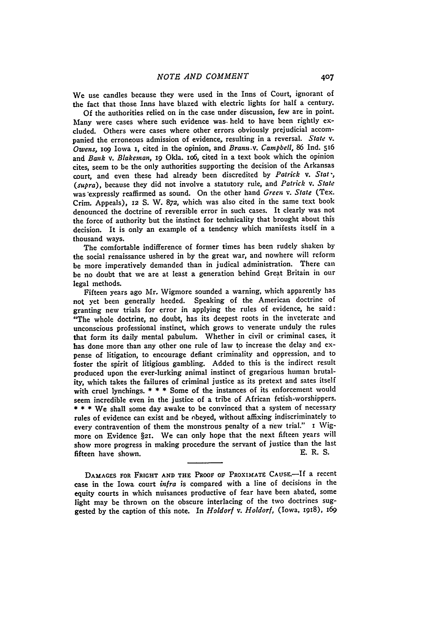We use candles because they were used in the Inns of Court, ignorant of the fact that those Inns have blazed with electric lights for half a century.

**Of** the authorities relied on in the case under discussion, few are in point. Many were cases where such evidence was. held to have been rightly excluded. Others were cases where other errors obviously prejudicial accompanied the erroneous admission of evidence, resulting in a reversal. *State v. Owens,* **IO9** Iowa i, cited in the opinion, and *Brann.v. Campbell,* **86 Ind.** S16 and *Bank v. Blakeman, i9* Okla. io6, cited in a text book which the opinion cites, seem to be the only authorities supporting the decision of the Arkansas court, and even these had already been discredited **by** *Patrick v. Stat', (s'upra),* because they did not involve a statutory rule, and *Patrick v. State* was'expressly reaffirmed as sound. On the other hand *Green v. State* (Tex. Crim. Appeals), **12 S.** W. **872,** which was also cited in the same text book denounced the doctrine of reversible error in such cases. It clearly was not the force of authority but the instinct for technicality that brought about this decision. It is only an example of a tendency which manifests itself in a thousand ways.

The comfortable indifference of former times has been rudely shaken **by** the social renaissance ushered in **by** the great war, and nowhere will reform be more imperatively demanded than in judical administration. There can be no doubt that we are at least a generation behind Great Britain in our legal methods.

Fifteen years ago Mr. Wigmore sounded a warning, which apparently has not yet been generally heeded. Speaking of the American doctrine of granting new trials for error in applying the rules of evidence, he said: "The whole doctrine, no doubt, has its deepest roots in the inveterate and unconscious professional instinct, which grows to venerate unduly the rules that form its daily mental pabulum. Whether in civil or criminal cases, it has done more than any other one rule of law to increase the delay and expense of litigation, to encourage defiant criminality and oppression, and to foster the spirit of litigious gambling. Added to this is the indirect result produced upon the ever-lurking animal instinct of gregarious human brutality, which takes the failures of criminal justice as its pretext and sates itself with cruel lynchings. **\*** \* **\*** Some of the instances of its enforcement would seem incredible even in the justice of a tribe of African fetish-worshippers. **\* \* \*** We shall some day awake to **be** convinced that a system of necessary rules of evidence can exist and be nbeyed, without affixing indiscriminately to every contravention of them the monstrous penalty of a new trial." I Wigmore on Evidence §21. We can only hope that the next fifteen years will show more progress in making procedure the servant of justice than the last  $f$  ffteen have shown fifteen have shown.

**DAMAGES FOR FRIGHT AND THE PROOF OF** PROXIMATE CAUSE.-If a recent case in the Iowa court *infra* is compared with a line of decisions in the equity courts in which nuisances productive of fear have been abated, some light may be thrown on the obscure interlacing of the two doctrines suggested **by** the caption of this note. In *Holdorf v. Holdori,* (Iowa, **1918),** <sup>169</sup>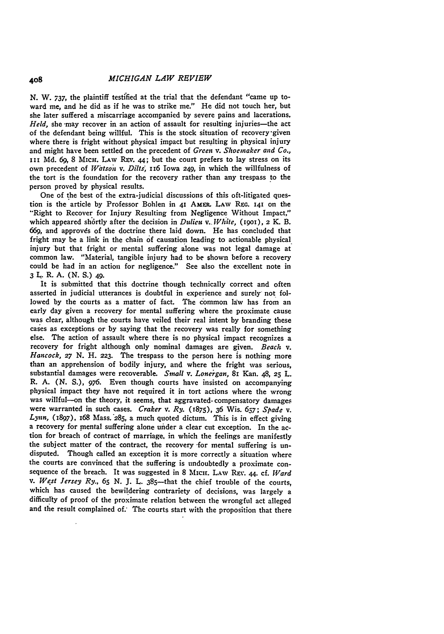*N.* W. *737,* the plaintiff testified at the trial that the defendant "came up toward me, and he did as if he was to strike me." He did not touch her, but she later suffered a miscarriage accompanied by severe pains and lacerations. *Held,* she may recover in an action of assault for resulting injuries—the act of the defendant being willful. This is the stock situation of recovery-given where there is fright without physical impact but resulting in physical injury and might have been settled on the precedent of *Green v. Shoemaker and Co.,* III Md. 69, 8 MICH. LAW REV. 44; but the court prefers to lay stress on its own precedent of *Watsoni v. Dilts,* 116 Iowa 249, in which the willfulness of the tort is the foundation for the recovery rather than any trespass to the person proved by physical results.

One of the best of the extra-judicial discussions of this oft-litigated question is the article by Professor Bohlen in 41 AMER. LAW REG. 141 on the "Right to Recover for Injury Resulting from Negligence Without Impact," which appeared shortly after the decision in *Dulieu v. White*, (1901),  $2 K$ , B. **669,** and approvds of the doctrine there laid down. He has concluded that fright may be a link in the chain of causation leading to actionable physical injury but that fright or mental suffering alone was not legal damage at common law. "Material, tangible injury had to be shown before a recovery could be had in an action for negligence." See also the excellent note in **3** L. R. **A. (N. S.)** 49.

It is submitted that this doctrine though technically correct and often asserted in judicial utterances is doubtful in experience and surely not followed **by** the courts as a matter of fact. The common law has from an early day given a recovery for mental suffering where the proximate cause was clear, although the courts have veiled their real intent **by** branding these cases as exceptions or **by** saying that the recovery was really for something else. The action of assault where there is no physical impact recognizes a recovery for fright although only nominal damages are given. *Beach v. Hancock, 27* **N.** H. **223.** The trespass to the person here is nothing more than an apprehension of bodily injury, and where the fright was serious, substantial damages were recoverable. *Small v. Lonergan,* **8r** Kan. 48, **25** L. R. **A. (N.** S.), **976.** Even though courts have insisted on accompanying physical impact they have not required it in tort actions where the wrong was willful-on the theory, it seems, that aggravated- compensatory damages were warranted in such cases. *Craker v. Ry.* (1875), **36** Wis. 657; *Spade v. Lynn, (i897),* 168 Mass. **285,** a much quoted dictum. This is in effect giving a recovery for mental suffering alone under a clear cut exception. In the action for breach of contract of marriage, in which the feelings are manifestly the subject matter of the contract, the recovery -for mental suffering is undisputed. Though called an exception it is more correctly a situation where the courts are convinced that the suffering is undoubtedly a proximate consequence of the breach. It was suggested in 8 Mich. LAW REV. 44. cf. Ward *v. West Jersey Ry., 65* N. **J.** L. 385-that the chief trouble of the courts, which has caused the bewildering contrariety of decisions, was largely a difficulty of proof of the proximate relation between the wrongful act alleged and the result complained of: The courts start with the proposition that there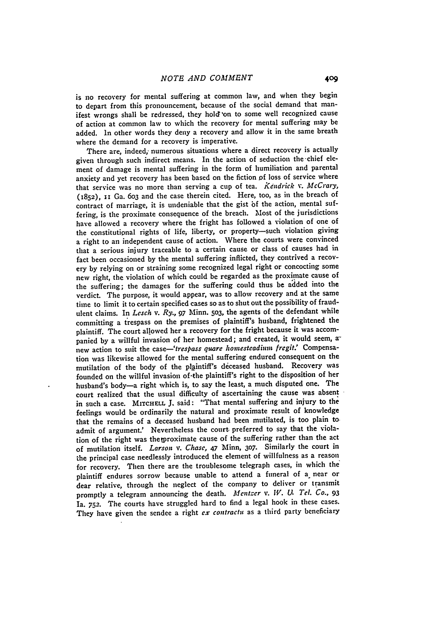is no recovery for mental suffering at common law, and when they begin to depart from this pronouncement, because of the social demand that manifest wrongs shall be redressed, they hold'on to some well recognized cause of action at common law to which the recovery for mental suffering may be added. in other words they deny a recovery and allow it in the same breath where the demand for a recovery is imperative.

There are, indeed, numerous situations where a direct recovery is actually given through such indirect means. In the action of seduction the-chief element of damage is mental suffering in the form of humiliation and parental anxiety and yet recovery has been based on the fiction of loss of service where that service was no more than serving a cup of tea. *Kendrick v. McCrary*, (1852), **1I** Ga. 603 and the case therein cited. Here, too, as in the breach of contract **of** marriage, it is undeniable that the gist **bf** the action, mental suffering, is the proximate consequence of the breach. Most of the jurisdictions have allowed a recovery where the fright has followed a violation of one of the constitutional rights of life, liberty, or property-such violation giving a right to an independent cause of action. Where the courts were convinced that a serious injury traceable to a certain cause or class of causes had in fact been occasioned **by** the mental suffering inflicted, they contrived a recovery **by** relying on or straining some recognized legal right or concocting some new right, the violation of which could be regarded as the proximate cause of the suffering; the damages for the suffering could thus be added into the verdict. The purpose, it would appear, was to allow recovery and at the same time to limit it to certain specified cases so as to shut out the possibility of fraudulent claims. In *Lcsch v. Ry.,* 97 Minn. **5o3,** the agents of the defendant while committing a trespass on the premises of plaintiff's husband, frightened the plaintiff. The court allowed her a recovery for the fright because it was accompanied by a willful invasion of her homestead; and created, it would seem, a<sup>-</sup> new action to suit the *case-'trespass quare homesteadium fregit.'* Compensation was likewise allowed for the mental suffering endured consequent on the mutilation of the body of the plaintiff's diceased husband. Recovery was founded on the willful invasion of-the plaintiff's right to the disposition of her husband's body-a right which is, to say the least, a much disputed one. The court realized that the usual difficulty of ascertaining the cause was absent in such a case. MITCHELL J. said: "That mental suffering and injury to the feelings would be ordinarily the natural and proximate result of knowledge that the remains of a deceased husband had been mutilated, is too plain to admit of argument.' Nevertheless the **court** preferred to say that the violation of the right was thetproximate cause of the suffering rather than the act of mutilation itself. *Larson v. Chase,* 47 Minn, **307.** Similarly the court in the principal case needlessly introduced the element of willfulness as a reason for recovery. Then there are the troublesome telegraph cases, in which the plaintiff endures sorrow because unable to attend a funeral of a near or dear relative, through the neglect of the company to deliver or transmit promptly a telegram announcing the death. *Mentzer v. W. U Tel. Co.,* **93** Ia. **752.** The courts have struggled hard to find a legal hook in these cases. They have given the sendee a right ex contractu as a third party beneficiary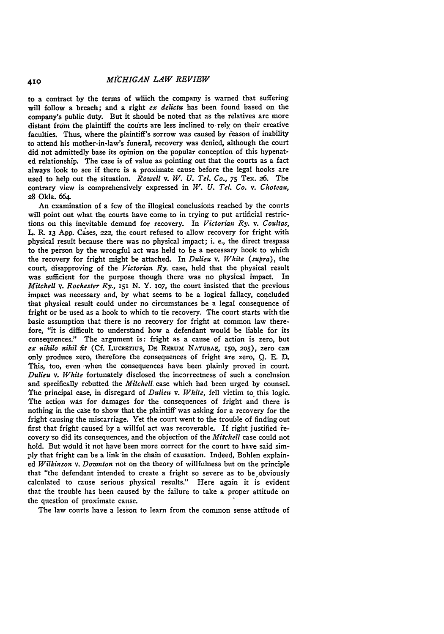to a contract **by** the terms of which the company is warned that suffering will follow a breach; and a right ex *delictu* has been found based on the company's public duty. But it should be noted that as the relatives are more distant from the plaintiff the courts are less inclined to rely on their creative faculties. Thus, where the plaintiff's sorrow was caused **by** reason of inability to attend his mother-in-law's funeral, recovery was denied, although the court did not admittedly base its opinion on the popular conception of this hypenated relationship. The case is of value as pointing out that the courts as a fact always look to see if there is a proximate cause before the legal hooks are used to help out the situation. *Rowell v. W. U. Tel. Co.,* **75** Tex. **26.** The contrary view is comprehensively expressed in *W. U. Tel. Co. v. Chotcau,* **28** Okla. 664.

An examination of a few of the illogical conclusions reached **by** the courts will point out what the courts have come to in trying to put artificial restrictions on this inevitable demand for recovery. In Victorian *Ry. v. Coultas,* L. **R. 13 App.** Cases, **222,** the court refused to allow recovery for fright with physical result because there was no physical impact; i. e., the direct trespass to the person **by** the wrongful act was held to **be** a necessary hook to which the recovery for fright might be attached. In *Dulieu v. White (supra),* the court, disapproving of the *Victorian Ry.* case, held that the physical result was sufficient for the purpose though there was no physical impact. In *Mitchell v. Rochester Ry., isi N.* Y. **io7,** the court insisted that the previous impact was necessary and, **by** what seems to be a logical fallacy, concluded that physical result could under no circumstances be a legal consequence of fright or be used as a hook to which to tie recovery. The court starts with the basic assumption that there is no recovery for fright at common law therefore, "it is difficult to understand how a defendant would be liable for its consequences." The argument is: fright as a cause of action is zero, but  $ex$  nihilo nihil fit (Cf. LUCRETIUS, DE RERUM NATURAE, 150, 205), zero can only produce zero, therefore the consequences of fright are zero, **Q. E. D.** This, too, even when the consequences have been plainly proved in court. *Dulieu v. White* fortunately disclosed the incorrectness of such a conclusion and specifically rebutted the *Mitchell.* case which had been urged by counsel. The principal case, in disregard of *Dulieu v. White,* fell victim to this logic. The action was for damages for the consequences of fright and there is nothing in the case to show that the plaintiff was asking for a recovery for the fright causing the miscarriage. Yet the court went to the trouble of finding out first that fright caused by a willful act was recoverable. If right justified recovery so did its consequences, and the objection of the *Mitchell* case could not hold. But wduld it not have been more correct for the court to have said simply that fright can be a link in the chain of causation. Indeed, Bohlen explained *Wilkinson v. Downton* not on the theory of willfulness but on the principle that "the defendant intended to create a fright so severe as to be obviously calculated to cause serious physical results." Here again it **is** evident that the trouble has been caused by the failure to take a proper attitude on the question of proximate cause.

The law courts have a lesson to learn from the common sense attitude of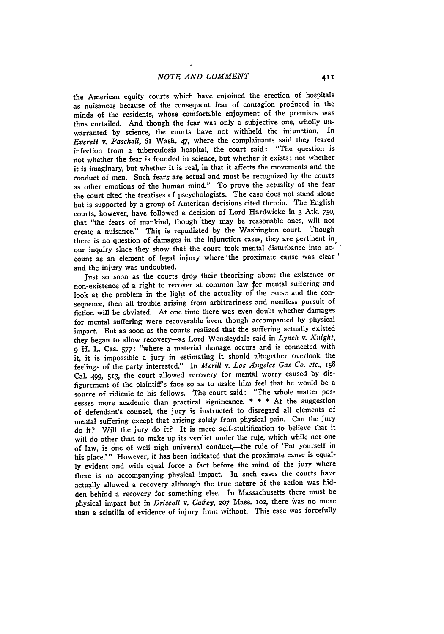the American equity courts which have enjoined the erection of hospitals as nuisances because of the consequent fear of contagion produced in the minds of the residents, whose comfortable enjoyment of the premises was thus curtailed. And though the fear was only a subjective one, wholly unwarranted by science, the courts have not withheld the injunction. Everett *v. Paschall,* **6I** Wash. 47, where the complainants said they feared infection from a tuberculosis hospital, the court said: "The question is not whether the fear is founded in science, but whether it exists; not whether it is imaginary, but whether it is real, in that it affects the movements and the conduct of men. Such fears are actual 'and must be recognized **by** the courts as other emotions of the human mind." To prove the actuality of the fear the court cited the treatises cf pscychologists. The case does not stand alone but is supported **by** a group of American decisions cited therein. The English courts, however, have followed a decision of Lord Hard wicke in **3** Atk. **750,** that "the fears of mankind, though they may be reasonable ones, will not create a nuisance." This is repudiated **by** the Washington court. Though there is no question of damages in the injunction cases, they are pertinent in our inquiry since they show that the court took mental disturbance into account as an element of legal injury where the proximate cause was clear' and the injury was undoubted.

Just so soon as the courts drop their theorizing about the existence or non-existence of a right to recover at common law for mental suffering and look at the problem in the light of the actuality of the cause and the consequence, then all trouble arising from arbitrariness and needless pursuit of fiction will be obviated. At one time there was even doubt whether damages for mental suffering were recoverable 'even though accompanied **by** physical impact. But as soon as the courts realized that the suffering actually existed they began to allow recovery-as Lord Wensleydale said in *Lynch v. Knight,* 9 H. L. Cas. **577:** "where a material damage occurs and is connected with it, it is impossible a jury in estimating it should altogether overlook the feelings of the party interested." In *Merill v. Los Angeles Gas Co. etc.,* **<sup>158</sup>** Cal. 499, **513,** the court allowed recovery for mental worry caused **by** disfigurement of the plaintiff's face so as to make him feel that he would be a source of ridicule to his fellows. The court said: "The whole matter possesses more academic than practical significance. **\*** \* **\*** At the suggestion of defendant's counsel, the jury is instructed to disregard all elements of mental suffering except that arising solely from physical pain. Can the jury do it? Will the jury do it? It is mere self-stultification to believe that it will do other than to make up its verdict under the rule, which while not one of law, is one of well nigh universal conduct,-the rule of 'Put yourself in his place.'" However, it has been indicated that the proximate cause is equally evident and with equal force a fact before the mind of the jury where there is no accompanying physical impact. In such cases the courts have actually allowed a recovery although the true nature **of** the action was hidden behind a recovery for something else. In Massachusetts there must be physical impact but in *Driscoll v. Gaffey, 2o7* Mlass. **102,** there vas no more than a scintilla of evidence of injury from without. This case was forcefully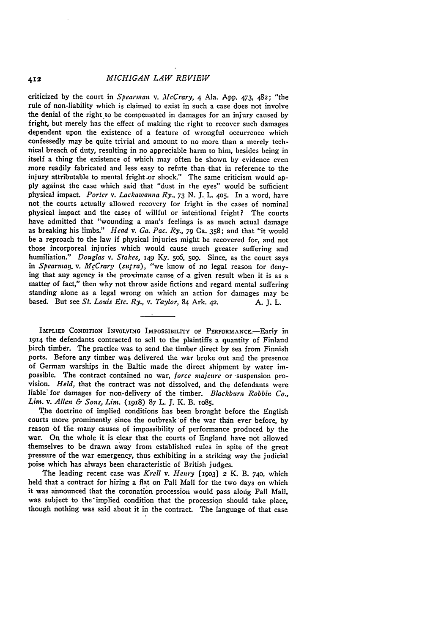criticized by the court in *Spearman v. McCrary,* 4 Ala. App. 473, 482; "the rule of non-liability which is claimed to exist in such a case does not involve the denial of the right to be compensated in damages for an injury caused by fright, but merely has the effect of making the right to recover such damages dependent upon the existence of a feature of wrongful occurrence which confessedly may be quite trivial and amount to no more than a merely technical breach of duty, resulting in no appreciable harm to him, besides being in itself a thing the existence of which may often be shown by evidence even more readily fabricated and less easy to refute than that in reference to the injury attributable to mental fright or shock." The same criticism would ap**ply** against the case which said that "dust in the eyes" would be sufficient physical impact. *Porter v. Lackawanna Ry., 73* N. **J.** L. 405. In a word, have not the courts actually allowed recovery for fright in the cases of nominal physical impact and the cases of willful or intentional fright? The courts have admitted that "wounding a man's feelings is as much actual damage as breaking his limbs." *Head v. Ga. Pac. Ry.,* 79 Ga. 358; and that "it would be a reproach to the law if physical injuries might be recovered for, and not those incorporeal injuries which would cause much greater suffering and humiliation." *Douglas v. Stakes,* **149** Ky. **506, 509.** Since, as the court says in *Spearman* v. McCrary (sutra), "we know of no legal reason for denying that any agency is the proximate cause of  $a$  given result when it is as a matter of fact," then why not throw aside fictions and regard mental suffering standing alone as a legal wrong on which an action for damages may be based. But see *St. Louis Etc. Ry., v. Taylor*, 84 Ark. 42. **A. J. L.** 

**IMPLIED** CONDITION **INVOLVING** IMPOSSIBILITY **OF** PERFORMANce.-Early in 1914 the defendants contracted to sell to the plaintiffs a quantity of Finland birch timber. The practice was to send the timber direct **by** sea from Finnish **ports. Before** any timber **was delivered** the war broke out and the presence of German warships in the Baltic made the direct shipment **by** water impossible. The contract contained no war, *force majeure* or suspension provision. *Held,* that the contract was not dissolved, and the defendants were liable for damages for non-delivery of the timber. *Blackburn Robbin Co., Lim. v. Allen & Sons, Lim.* (1918) **87** L. **J.** K. B. **io85.**

The doctrine of implied conditions has been brought before the English courts more prominently since the outbreak of the war than ever before, by reason **of** the many causes of impossibility of performance produced **by** the war. On the whole it is clear that the courts of England have not allowed themselves to be drawn away from established rules in spite of the great pressure of the war emergency, thus exhibiting in a striking way the judicial poise which has always been characteristic of British judges.

The leading recent case was *Krell v. Henry* **[1903]** 2 K. B. 740, which held that a contract for hiring a flat on Pall Mall for the two days on which it was announced that the coronation procession would pass alonig Pall Mall. was subject to the'implied condition that the procession should take place, though nothing was said about it in the contract. The language of that case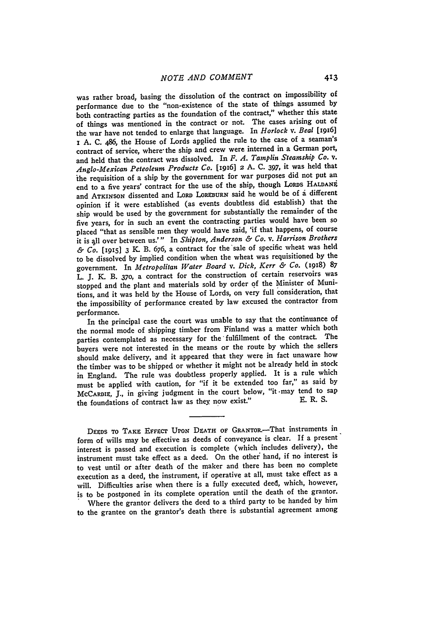was rather broad, basing the dissolution of the contract on impossibility of performance due to the "non-existence of the state of things assumed **by** both contracting parties as the foundation of the contract," whether this state of things was mentioned in the contract or not. The cases arising out of the war have not tended to enlarge that language. In *Horlock v. Beal* [1916] i A. **C.** 486, the House of Lords applied the rule to the case of a seaman's contract of service, where the ship and crew were interned in a German port, and held that the contract was dissolved. In *P. A. Tamplin Steamship Co.* v. *Anglo-Mexican Peteoleum Products Co.* [19x6] 2 A. **C.** 397, it was held that he requisition of a ship by the government for war purposes did not put an end to a five years' contract for the use of the ship, though LoRDs **HALDANj** and ATKINSON dissented and LORD LOREBURN said he would be of a different opinion if it were established (as events doubtless did establish) that the ship would be used by the government for substantially the remainder of the five years, for in such an event the contracting parties would have been so placed "that as sensible men they would have said, 'if that happens, of course it is ,11 over between us.'" In *Shipton, Anderson & Co. v. Harrison Brothers & Co.* **[1915]** 3 K. B. 676, a contract for the'sale of specific wheat was held to be dissolved by implied condition when the wheat was requisitioned by the government. In *Metropolitan Water Board v. Dick, Kerr & Co.* (1918) 87 L. J. *K.* B. **370,** a contract for the construction of certain reservoirs was stopped and the plant and materials sold by order of the Minister of Munitions, and it was held by the House of Lords, on very full consideration, that the impossibility of performance created by law excused the contractor from performance.

In the principal case the court was unable to say that the continuance of the normal mode of shipping timber from Finland was a matter which both parties contemplated as necessary for the fulfillment of the contract. The buyers were not interested in the means or the route by which the sellers should make delivery, and it appeared that they were in fact unaware how the timber was to be shipped or whether it might not be already held in stock in England. The rule was doubtless properly applied. It is a rule which must be applied with caution, for "if it be extended too far," as said by McCARDIE, J., in giving judgment in the court below, "it-may tend to sap the foundations of contract law as they now exist."

DEEDS TO TAKE EFFECT UPON DEATH OF GRANTOR.-That instruments in form of wills may be effective as deeds of conveyance is clear. If a present' interest is passed and execution is complete (which includes delivery), the instrument must take effect as a deed. On the other' hand, if no interest is to vest until or after death of the maker and there has been no complete execution as a deed, the instrument, if operative at all, must take effect as a will. Difficulties arise when there is a fully executed deed, which, however, is to be postponed in its complete operation until the death of the grantor.

Where the grantor delivers the deed to a third party to be handed by him to the grantee on the grantor's death there is substantial agreement among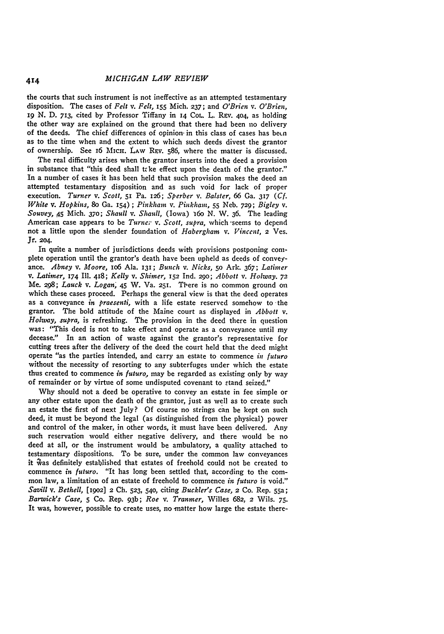the courts that such instrument is not ineffective as an attempted testamentary disposition. The cases of *Felt v. Felt,* **I55** Mich. **237;** and *O'Brien v. O'Brien,* ig *N.* D. 713, cited by Professor Tiffany in **I4** CoL. L. REv. **404,** as holding the other way are explained on the ground that there had been no delivery of the deeds. The chief differences of opinion- in this class of cases has been as to the time when and the extent to which such deeds divest the grantor of ownership. See 16 MICH. LAW REV. 586, where the matter is discussed.

The real difficulty arises when the grantor inserts into the deed a provision in substance that "this deed shall to ke effect upon the death of the grantor." In a number of cases it has been held that such provision makes the deed an attempted testamentary disposition and as such void for lack of proper execution. *Turner v. Scott, 5I* Pa. **126;** *Sperber v. Balster,* 66 Ga. **317** *(Cf. White v. Hopkins, 8o* Ga. I54) **;** *Pinkham v. Pinkhan,* 55 Neb. **729;** *Bigley v. Souvey, .45* Mich. *370; Shaull v. Slzaull,* (Iowa) 16o N. W. 36. The leading American case appears to be *Turne; v. Scott, supra*, which seems to depend not a little upon the slender foundation of *Habergham v. Vincent,* **2** Ves. Jr. **204.**

In quite a number of jurisdictions deeds with provisions postponing complete operation until the grantor's death have been upheld as deeds of conveyance. *Abney v. Moore, lo6* Ala. i31; *Bunch v. Nicks,* 5o Ark. 367; *Latimer V. Latimer,* **174 Ill.** 418; *Kelly v. Shimer,* **152** Ind. 290; *Abbott v. Holway.* **72** Me. 298; *Lauck v. Logan,* 45 W. Va. 251. There is no common ground on which these cases proceed. Perhaps the general view is that the deed operates as a conveyance *in praesenti,* with a life estate reserved somehow to -the grantor. The bold attitude of the Maine court as displayed in *Abbott v. Holway, supra,* is refreshing. The provision in the deed there in question was: "This deed is not to take effect and operate as a conveyance until my decease." In an action of waste against the grantor's representative for cutting trees after the delivery of the deed the court held that the deed might operate "as the parties intended, and carry an estate to commence *in futuro* without the necessity of resorting to any subterfuges under which the estate thus created to commence *in futuro,* may be regarded as existing only by way of remainder or by virtue of some undisputed covenant to stand seized."

Why should not a deed be operative to convey an estate in fee simple or any other estate upon the death of the grantor, just as well as to create such an estate the first of next July? Of course no strings can be kept on such deed, it must be beyond the legal (as distinguished from the physical) power and control of the maker, in other words, it must have been delivered. Any such reservation would either negative delivery, and there would be no deed at all, or the instrument would be ambulatory, a quality attached to testamentary dispositions. To be sure, under the common law conveyances it  $\hat{\mathbf{w}}$  as definitely established that estates of freehold could not be created to commence *in futuro.* "It has long been settled that, according to the common law, a limitation of an estate of freehold to commence *in futuro* is void." *Savill v. Bethell,* **[1902] 2 Ch. 523,** 540, citing *Buckler's Case,* 2 Co. Rep. 55a; *Barwick's Case,* **5** Co. Rep. 93b; *Roe v. Tranmer,* Willes 682, **2** Wils. 75. It was, however, possible to create uses, no matter how large the estate there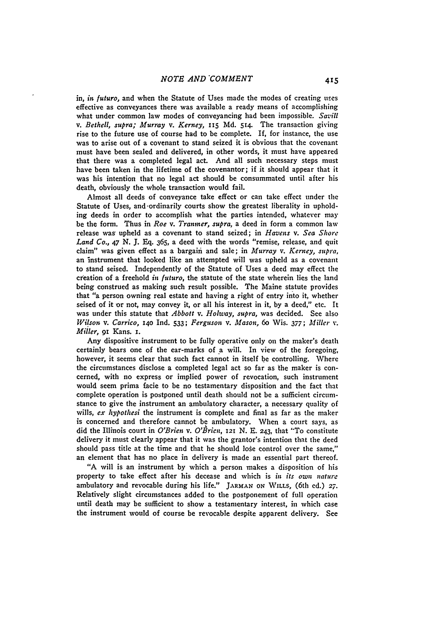in, *in futuro*, and when the Statute of Uses made the modes of creating uses effective as conveyances there was available a ready means of accomplishing what under common law modes of conveyancing had been impossible. *Sazill v. Bethell, supra; Murray v. Kerney,* 115 Md. 514. The transaction giving rise to the future use of course had to be complete. If, for instance, the use was to arise out of a covenant to stand seized it is obvious that the covenant must have been sealed and delivered, in other words, it must have appeared that there was a completed legal act. And all such necessary steps must have been taken in the lifetime of the covenantor; if it should appear that it was his intention that no legal act should be consummated until after his death, obviously the whole transaction would fail.

Almost all deeds of conveyance take effect or can take effect under the Statute of Uses, and-ordinarily courts show the greatest liberality in upholding deeds in order to accomplish what the parties intended, whatever may be the form. Thus in *Roe v. Traniner, supra,* a deed in form a common law release was upheld as a covenant to stand seized; in *Havens v. Sea Shore Land Co., 47* **N. J. Eq. 365,** a deed with the words "remise, release, and quit claim" was given effect as a bargain and sale; in *Murray v. Kerney, supra,* an instrument that looked like an attempted will was upheld as a covenant to stand seised. Independently of the Statute of Uses a deed may effect the creation of a freehold *in futuro,* the statute of the state wherein lies the land being construed as making such result possible. The Maine statute provides that "a person owning real estate and having a right of entry into it, whether seised of it or not, may convey it, or all his interest in it, **by** a deed," etc. It was under this statute that *Abbott v. Howay, supra,* was decided. See also *Wilson v. Carrico,* i4o Ind. 533; *Ferguson v. Mason,* 6o Wis. 377; *Millcr v. Miller,* **91** Kans. I.

Any dispositive instrument to be fully operative only on the maker's death certainly bears one of the ear-marks of a will. In view of the foregoing, however, it seems clear that such fact cannot in itself be controlling. Where the circumstances disclose a completed legal act so far as the maker is concerned, with no express or implied power of revocation, such instrument would seem prima facie to be no testamentary disposition and the fact that complete operation is postponed until death should not be a sufficient circumstance to give the instrument an ambulatory character, a necessary quality of wills, *ex hypothesi* the instrument is complete and final as far as the maker is concerned and therefore cannot be ambulatory. When a court says, as did the Illinois court in *O'Brien v. O'Bricn, 121* N. **E.** 243, that "To constitute delivery it must clearly appear that it was the grantor's intention that the deed should pass title at the time and that he should lose control over the same," an element that has no place in delivery is made an essential part thereof.

"A will is an instrument by which a person makes a disposition of his property to take effect after his decease and which is *in its own nature* ambulatory and revocable during his life." **JARMAN ON** WILLS, (6th ed.) **27.** Relatively slight circumstances added to the postponement of full operation until death may be sufficient to show a testamentary interest, in which case the instrument would of course be revocable despite apparent delivery. See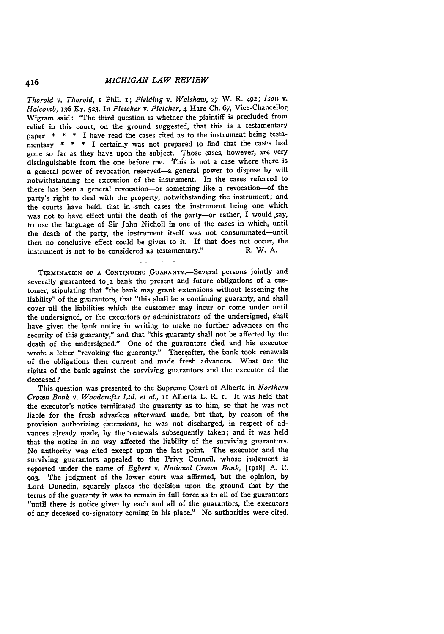*Thorold v. Thorold,* **I** Phil. **I;** *Fielding v. Walshaw, 27* W. R. **492;** *Ison* **V.** *Halcomb,* 136 Ky. **523.** In *Fletcher v. Fletcher,* 4 Hare **Ch.** 67, Vice-Chancellor. Wigram said: "The third question is whether the plaintiff is precluded from relief in this court, on the ground suggested, that this is a testamentary paper \* **\*** \* I have read the cases cited as to the instrument being testamentary  $* * * I$  certainly was not prepared to find that the cases had gone so far as they have upon ihe subject. Those cases, however, are very distinguishable from the one before me. This is not a case where there is a general power of revocati6n reserved-a general power to dispose **by** will notwithstanding the execution of the instrument. In the cases referred to there has been a general revocation-or something like a revocation-of the party's right to deal with the property, notwithstanding the instrument; and the courts- have held, that in -such cases the instrument being one which was not to have effect until the death of the party-or rather, I would say, to use the language of Sir John Nicholl in one of the cases in which, until the death of the party, the instrument itself was not consummated-until then no conclusive effect could be given to it. If that does not occur, the instrument is not to be considered as testamentary."  $R$ . W. A. instrument is not to be considered as testamentary."

**TERMINATION OF A** CONTINUING GUARANTY.-Several persons jointly and severally guaranteed to a bank the present and future obligations of a customer, stipulating that "the bank may grant extensions without lessening the liability" of the guarantors, that "this shall be a continuing guaranty, and shall cover all the liabilities which the customer may incur or come under until the undersigned, or the executors or administrators of the undersigned, shall have given the bank notice in writing to make no further advances on the security of this guaranty," and that "this guaranty shall not be affected by the death of the undersigned." One of the guarantors died and his executor wrote a letter "revoking the guaranty." Thereafter, the bank took renewals of the obligations then current and made fresh advances. What are the rights of the bank against the surviving guarantors and the executor of the deceased?

This question was presented to the Supreme Court of Alberta in *Northern Crown Bank v. Woodcrafts Ltd. et al.,* **ii** Alberta L. R. **I.** It was held that the executor's notice terniinated the guaranty as to him, so that he was not liable for the fresh advances afterward made, but that, by reason of the provision authorizing extensions, he was not discharged, in respect of advances already made, by the renewals subsequently taken; and it was held that the notice in no way affected the liability of the surviving guarantors. No authority was cited except upon the last point. The executor and the. surviving guarantors appealed to the Privy Council, whose judgment is reported under the name of *Egbert v. National Crown Bank,* [i918] A. C. **903.** The judgment of the lower court was affirmed, but the opinion, by Lord Dunedin, squarely places the decision upon the ground that by the terms of the guaranty it was to remain in full force as to all of the guarantors "until there is noice given **by** each and all of the guarantors, the executors of any deceased co-signatory coming in his place." No authorities were cited.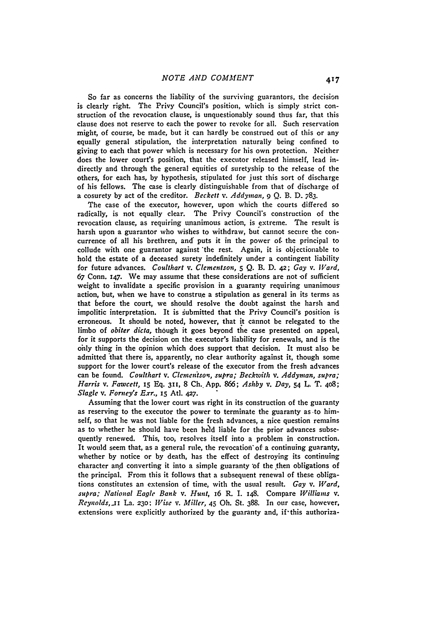So far as concerns the liability of the surviving guarantors, the decision is clearly right. The Privy Council's position, which is simply strict construction of the revocation clause, is unquestionably sound thus far, that this clause does not reserve to each the power to revoke for all. Such reservation might, of course, be made, but it can hardly be construed out of this or any equally general stipulation, the interpretation naturally being confined to giving to each that power which is necessary for his own protection. Neither does the lower court's position, that the executor released himself, lead indirectly and through the general equities of suretyship to the release of the others, for each has, by hypothesis, stipulated for just this sort of discharge of his fellows. The case is clearly distinguishable from that of discharge of a cosurety **by** act of the creditor. *Beckett v. Addyman, 9* **Q.** B. **D.** 783.

The case of the executor, however, upon which the courts differed so radically, is not equally clear. The Privy Council's construction of the revocation clause, as requiring unanimous action, is extreme. The result is harsh upon a guarantor who wishes to withdraw, but cannot secure the concurrence of all his brethren, and puts it in the power of. the principal to collude with one guarantor against 'the rest. Again, it is objectionable to hold the estate of a deceased surety indefinitely under a contingent liability for future advances. *Coulthart v. Clementson, 5* **Q.** B. **D.** *42; Gay v. Ward,* 67 Conn. 147. We may assume that these considerations are not of sufficient weight to invalidate a specific provision in a guaranty requiring unanimousaction, but, when we have to construe a stipulation as general in its terms as that before the court, we should resolve the doubt against the harsh and impolitic interpretation. It is submitted that the Privy Council's position is erroneous. It should be noted, however, that it cannot be relegated to the limbo of *obiter dicta,* though it goes beyond the case presented on appeal, for it supports the decision on the executor's liability for renewals, and is the only thing in the opinion which does support that decision. It must also be admitted 'that there is, apparently, no clear authority against it, though some support for the lower court's release of the executor from the fresh advances can be found. *Coulthart v. Clementson, supra; Beckwith v. Addyman, supra; Harris v. Fawcett, x5* **Eq. 311,** 8 Ch.. App. 866; *Ashby v. Day,* 54 L. T. 408; *Slagle v. Forney's Exr.,* **15** At. *427.*

Assuming that the lower court was right in its construction of the guaranty as reserving to the executor the power to terminate the guaranty as-to himself, so that he was not liable for the fresh advances, a nice question remains as to whether he should have been held liable for the prior advances subsequently renewed. This, too, resolves itself into a problem in construction. It would seem that, as a general rule, the revocation'of a continuing guaranty, whether by notice or by death, has the effect of destroying its continuing character and converting it into a simple guaranty of the then obligations of the principal. From this it follows that a subsequent renewal of these obligations constitutes an extension of time, with the usual result. *Gay v. Ward, supra;* National Eagle *Bank v. Hunt,* i6 R. I. 148. Compare *Williams v. Reynolds,* jI La. **230:** *Wise v. Miller, 45* Oh. St. 388. In our case, however, extensions were explicitly authorized by the guaranty and, if-this authoriza-